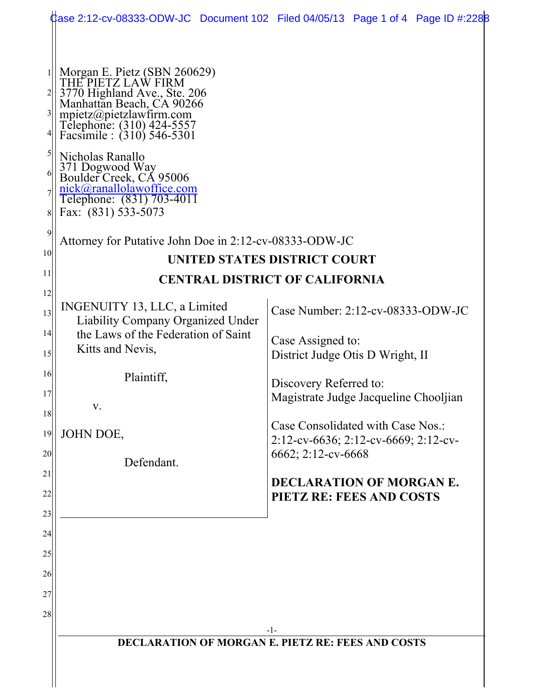|                                                        |                                                                                                                                                                                                                                                                                                                                                                                                                           | Case 2:12-cv-08333-ODW-JC Document 102 Filed 04/05/13 Page 1 of 4 Page ID #:2288 |
|--------------------------------------------------------|---------------------------------------------------------------------------------------------------------------------------------------------------------------------------------------------------------------------------------------------------------------------------------------------------------------------------------------------------------------------------------------------------------------------------|----------------------------------------------------------------------------------|
| $\vert 3 \vert$<br>5<br>6<br>8<br>$\overline{9}$<br>10 | Morgan E. Pietz (SBN 260629)<br>THE PIETZ LAW FIRM<br>3770 Highland Ave., Ste. 206<br>Manhattan Beach, CA 90266<br>mpietz@pietzlawfirm.com<br>Telephone: (310) 424-5557<br>Facsimile : (310) 546-5301<br>Nicholas Ranallo<br>371 Dogwood Way<br>Boulder Creek, CA 95006<br><u>nick@ranallolawoffice.com</u><br>Telephone: (831) 703-4011<br>Fax: (831) 533-5073<br>Attorney for Putative John Doe in 2:12-cv-08333-ODW-JC |                                                                                  |
|                                                        | <b>UNITED STATES DISTRICT COURT</b>                                                                                                                                                                                                                                                                                                                                                                                       |                                                                                  |
| 11                                                     | <b>CENTRAL DISTRICT OF CALIFORNIA</b>                                                                                                                                                                                                                                                                                                                                                                                     |                                                                                  |
| 12 <br>13                                              | INGENUITY 13, LLC, a Limited<br>Liability Company Organized Under                                                                                                                                                                                                                                                                                                                                                         | Case Number: 2:12-cv-08333-ODW-JC                                                |
| 4 <br>15                                               | the Laws of the Federation of Saint<br>Kitts and Nevis,                                                                                                                                                                                                                                                                                                                                                                   | Case Assigned to:<br>District Judge Otis D Wright, II                            |
| 16<br>17                                               | Plaintiff,                                                                                                                                                                                                                                                                                                                                                                                                                | Discovery Referred to:                                                           |
| 18                                                     | V.                                                                                                                                                                                                                                                                                                                                                                                                                        | Magistrate Judge Jacqueline Chooljian                                            |
| 19                                                     | JOHN DOE,                                                                                                                                                                                                                                                                                                                                                                                                                 | Case Consolidated with Case Nos.:<br>2:12-cv-6636; 2:12-cv-6669; 2:12-cv-        |
| 20                                                     | Defendant.                                                                                                                                                                                                                                                                                                                                                                                                                | 6662; 2:12-cv-6668                                                               |
| 21<br>22                                               |                                                                                                                                                                                                                                                                                                                                                                                                                           | DECLARATION OF MORGAN E.<br><b>PIETZ RE: FEES AND COSTS</b>                      |
| 23                                                     |                                                                                                                                                                                                                                                                                                                                                                                                                           |                                                                                  |
| 24                                                     |                                                                                                                                                                                                                                                                                                                                                                                                                           |                                                                                  |
| 25                                                     |                                                                                                                                                                                                                                                                                                                                                                                                                           |                                                                                  |
| 26                                                     |                                                                                                                                                                                                                                                                                                                                                                                                                           |                                                                                  |
| 27                                                     |                                                                                                                                                                                                                                                                                                                                                                                                                           |                                                                                  |
| 28                                                     |                                                                                                                                                                                                                                                                                                                                                                                                                           |                                                                                  |
|                                                        | $-1-$                                                                                                                                                                                                                                                                                                                                                                                                                     |                                                                                  |
|                                                        | <b>DECLARATION OF MORGAN E. PIETZ RE: FEES AND COSTS</b>                                                                                                                                                                                                                                                                                                                                                                  |                                                                                  |
|                                                        |                                                                                                                                                                                                                                                                                                                                                                                                                           |                                                                                  |
|                                                        |                                                                                                                                                                                                                                                                                                                                                                                                                           |                                                                                  |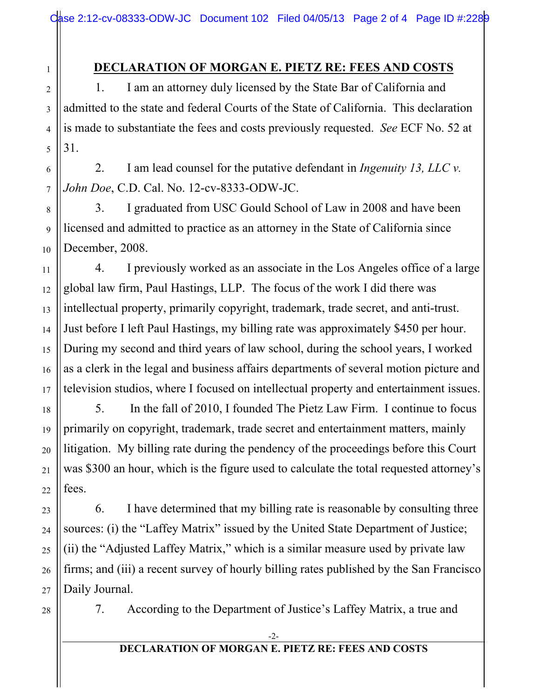## **DECLARATION OF MORGAN E. PIETZ RE: FEES AND COSTS**

1. I am an attorney duly licensed by the State Bar of California and admitted to the state and federal Courts of the State of California. This declaration is made to substantiate the fees and costs previously requested. *See* ECF No. 52 at 31.

2. I am lead counsel for the putative defendant in *Ingenuity 13, LLC v. John Doe*, C.D. Cal. No. 12-cv-8333-ODW-JC.

3. I graduated from USC Gould School of Law in 2008 and have been licensed and admitted to practice as an attorney in the State of California since December, 2008.

4. I previously worked as an associate in the Los Angeles office of a large global law firm, Paul Hastings, LLP. The focus of the work I did there was intellectual property, primarily copyright, trademark, trade secret, and anti-trust. Just before I left Paul Hastings, my billing rate was approximately \$450 per hour. During my second and third years of law school, during the school years, I worked as a clerk in the legal and business affairs departments of several motion picture and television studios, where I focused on intellectual property and entertainment issues.

5. In the fall of 2010, I founded The Pietz Law Firm. I continue to focus primarily on copyright, trademark, trade secret and entertainment matters, mainly litigation. My billing rate during the pendency of the proceedings before this Court was \$300 an hour, which is the figure used to calculate the total requested attorney's fees.

6. I have determined that my billing rate is reasonable by consulting three sources: (i) the "Laffey Matrix" issued by the United State Department of Justice; (ii) the "Adjusted Laffey Matrix," which is a similar measure used by private law firms; and (iii) a recent survey of hourly billing rates published by the San Francisco Daily Journal.

28

1

2

3

4

5

6

7

8

9

10

11

12

13

14

15

16

17

18

19

20

21

22

23

24

25

26

27

7. According to the Department of Justice's Laffey Matrix, a true and

## **DECLARATION OF MORGAN E. PIETZ RE: FEES AND COSTS**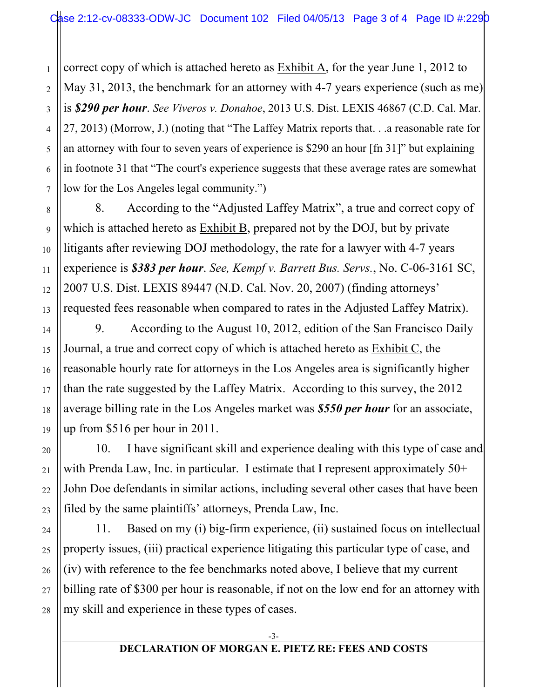correct copy of which is attached hereto as Exhibit A, for the year June 1, 2012 to May 31, 2013, the benchmark for an attorney with 4-7 years experience (such as me) is *\$290 per hour*. *See Viveros v. Donahoe*, 2013 U.S. Dist. LEXIS 46867 (C.D. Cal. Mar. 27, 2013) (Morrow, J.) (noting that "The Laffey Matrix reports that. . .a reasonable rate for an attorney with four to seven years of experience is \$290 an hour [fn 31]" but explaining in footnote 31 that "The court's experience suggests that these average rates are somewhat low for the Los Angeles legal community.")

1

2

3

4

5

6

7

8

9

10

11

12

13

14

15

16

17

18

19

20

21

22

23

24

25

26

27

28

8. According to the "Adjusted Laffey Matrix", a true and correct copy of which is attached hereto as Exhibit B, prepared not by the DOJ, but by private litigants after reviewing DOJ methodology, the rate for a lawyer with 4-7 years experience is *\$383 per hour*. *See, Kempf v. Barrett Bus. Servs.*, No. C-06-3161 SC, 2007 U.S. Dist. LEXIS 89447 (N.D. Cal. Nov. 20, 2007) (finding attorneys' requested fees reasonable when compared to rates in the Adjusted Laffey Matrix).

9. According to the August 10, 2012, edition of the San Francisco Daily Journal, a true and correct copy of which is attached hereto as Exhibit C, the reasonable hourly rate for attorneys in the Los Angeles area is significantly higher than the rate suggested by the Laffey Matrix. According to this survey, the 2012 average billing rate in the Los Angeles market was *\$550 per hour* for an associate, up from \$516 per hour in 2011.

10. I have significant skill and experience dealing with this type of case and with Prenda Law, Inc. in particular. I estimate that I represent approximately 50+ John Doe defendants in similar actions, including several other cases that have been filed by the same plaintiffs' attorneys, Prenda Law, Inc.

11. Based on my (i) big-firm experience, (ii) sustained focus on intellectual property issues, (iii) practical experience litigating this particular type of case, and (iv) with reference to the fee benchmarks noted above, I believe that my current billing rate of \$300 per hour is reasonable, if not on the low end for an attorney with my skill and experience in these types of cases.

## **DECLARATION OF MORGAN E. PIETZ RE: FEES AND COSTS**